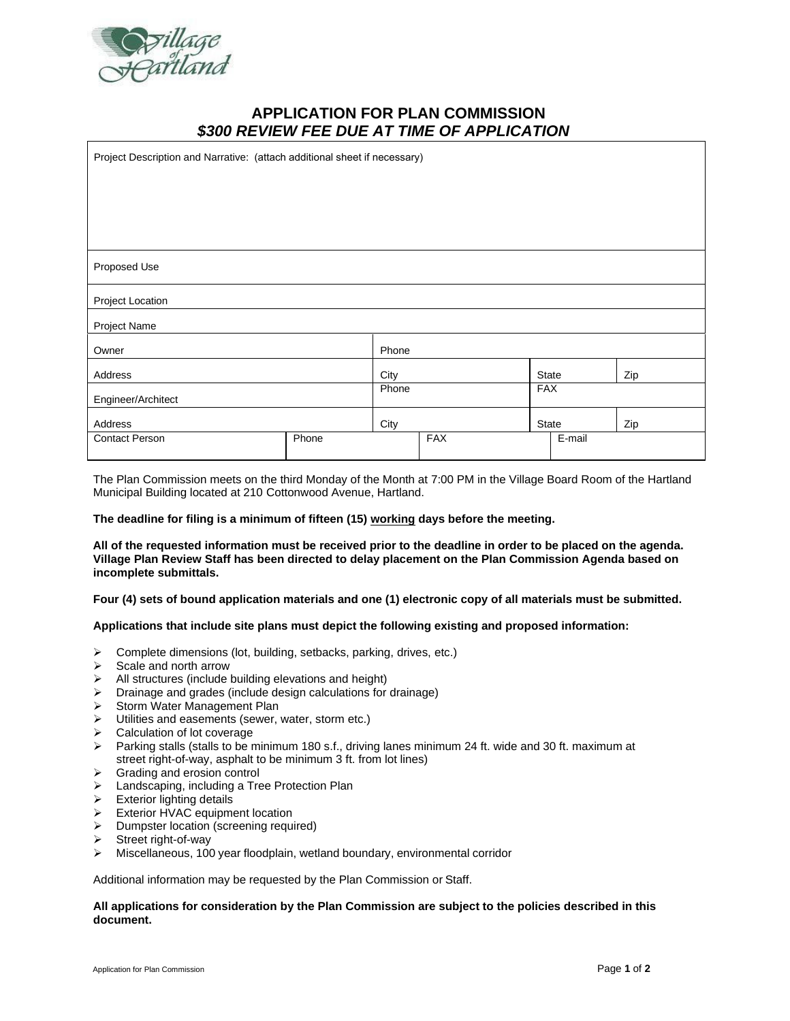

# **APPLICATION FOR PLAN COMMISSION** *\$300 REVIEW FEE DUE AT TIME OF APPLICATION*

| Project Description and Narrative: (attach additional sheet if necessary) |       |       |            |            |        |     |
|---------------------------------------------------------------------------|-------|-------|------------|------------|--------|-----|
|                                                                           |       |       |            |            |        |     |
|                                                                           |       |       |            |            |        |     |
|                                                                           |       |       |            |            |        |     |
| Proposed Use                                                              |       |       |            |            |        |     |
| Project Location                                                          |       |       |            |            |        |     |
| Project Name                                                              |       |       |            |            |        |     |
| Owner                                                                     |       | Phone |            |            |        |     |
| Address                                                                   |       | City  |            |            | State  | Zip |
| Engineer/Architect                                                        |       | Phone |            | <b>FAX</b> |        |     |
| Address                                                                   |       | City  |            | State      |        | Zip |
| <b>Contact Person</b>                                                     | Phone |       | <b>FAX</b> |            | E-mail |     |
|                                                                           |       |       |            |            |        |     |

The Plan Commission meets on the third Monday of the Month at 7:00 PM in the Village Board Room of the Hartland Municipal Building located at 210 Cottonwood Avenue, Hartland.

## **The deadline for filing is a minimum of fifteen (15) working days before the meeting.**

**All of the requested information must be received prior to the deadline in order to be placed on the agenda. Village Plan Review Staff has been directed to delay placement on the Plan Commission Agenda based on incomplete submittals.**

**Four (4) sets of bound application materials and one (1) electronic copy of all materials must be submitted.** 

#### **Applications that include site plans must depict the following existing and proposed information:**

- ➢ Complete dimensions (lot, building, setbacks, parking, drives, etc.)
- ➢ Scale and north arrow
- ➢ All structures (include building elevations and height)
- ➢ Drainage and grades (include design calculations for drainage)
- ➢ Storm Water Management Plan
- ➢ Utilities and easements (sewer, water, storm etc.)
- ➢ Calculation of lot coverage
- ➢ Parking stalls (stalls to be minimum 180 s.f., driving lanes minimum 24 ft. wide and 30 ft. maximum at street right-of-way, asphalt to be minimum 3 ft. from lot lines)
- ➢ Grading and erosion control
- ➢ Landscaping, including a Tree Protection Plan
- ➢ Exterior lighting details
- ➢ Exterior HVAC equipment location
- ➢ Dumpster location (screening required)
- ➢ Street right-of-way
- ➢ Miscellaneous, 100 year floodplain, wetland boundary, environmental corridor

Additional information may be requested by the Plan Commission or Staff.

### **All applications for consideration by the Plan Commission are subject to the policies described in this document.**